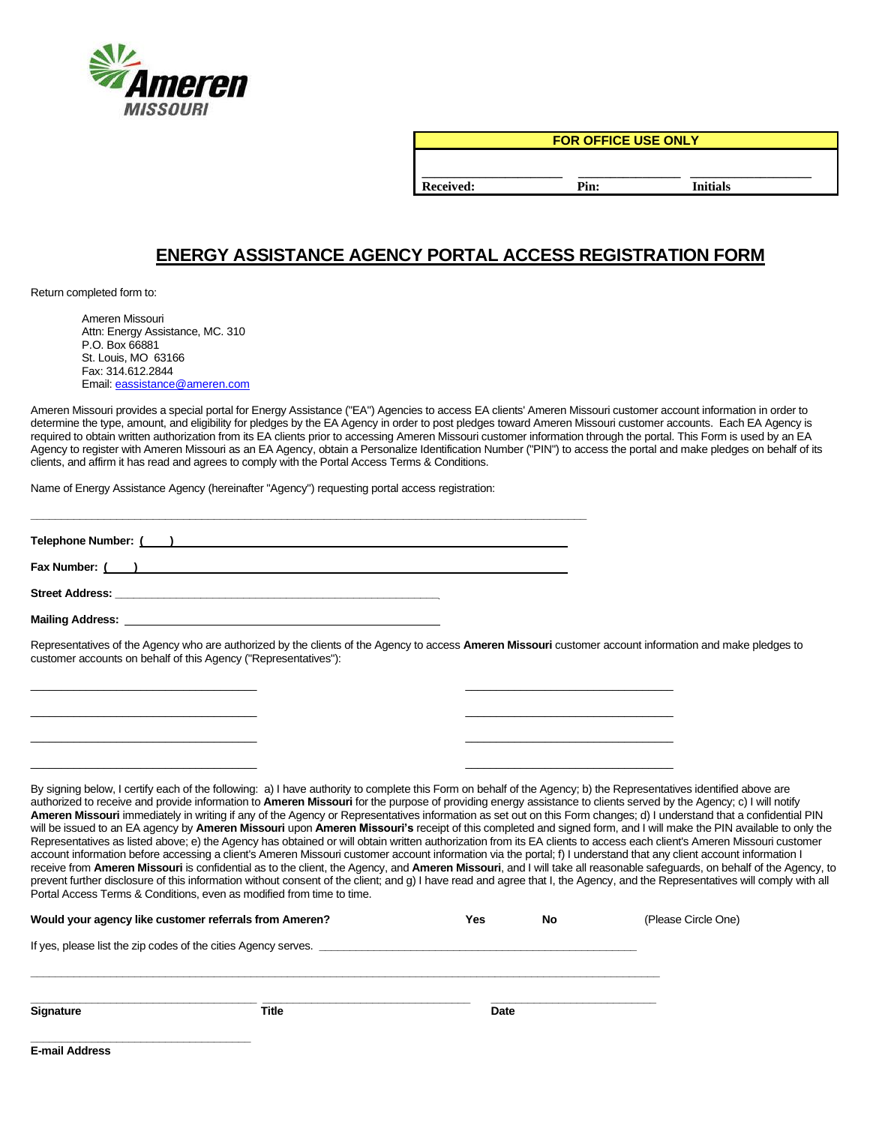

**FOR OFFICE USE ONLY**

**\_\_\_\_\_\_\_\_\_\_\_\_\_\_\_\_\_\_\_\_\_\_ \_\_\_\_\_\_\_\_\_\_\_\_\_\_\_\_ \_\_\_\_\_\_\_\_\_\_\_\_\_\_\_\_\_\_\_ Received: Pin: Initials**

## **ENERGY ASSISTANCE AGENCY PORTAL ACCESS REGISTRATION FORM**

Return completed form to:

Ameren Missouri Attn: Energy Assistance, MC. 310 P.O. Box 66881 St. Louis, MO 63166 Fax: 314.612.2844 Email[: eassistance@ameren.com](mailto:eassistance@ameren.com)

Ameren Missouri provides a special portal for Energy Assistance ("EA") Agencies to access EA clients' Ameren Missouri customer account information in order to determine the type, amount, and eligibility for pledges by the EA Agency in order to post pledges toward Ameren Missouri customer accounts. Each EA Agency is required to obtain written authorization from its EA clients prior to accessing Ameren Missouri customer information through the portal. This Form is used by an EA Agency to register with Ameren Missouri as an EA Agency, obtain a Personalize Identification Number ("PIN") to access the portal and make pledges on behalf of its clients, and affirm it has read and agrees to comply with the Portal Access Terms & Conditions.

Name of Energy Assistance Agency (hereinafter "Agency") requesting portal access registration:

| Telephone Number: ( ) and ( ) and ( ) and ( ) and ( ) and ( ) and ( ) and ( ) and ( ) and ( ) and ( ) and ( ) and ( ) and ( ) and ( ) and ( ) and ( ) and ( ) and ( ) and ( ) and ( ) and ( ) and ( ) and ( ) and ( ) and ( ) |  |
|-------------------------------------------------------------------------------------------------------------------------------------------------------------------------------------------------------------------------------|--|
|                                                                                                                                                                                                                               |  |
|                                                                                                                                                                                                                               |  |
|                                                                                                                                                                                                                               |  |
| Representatives of the Agency who are authorized by the clients of the Agency to access Ameren Missouri customer account information and make pledges to<br>customer accounts on behalf of this Agency ("Representatives"):   |  |
|                                                                                                                                                                                                                               |  |

 $\overline{\phantom{a}}$  , and the contribution of the contribution of the contribution of the contribution of the contribution of the contribution of the contribution of the contribution of the contribution of the contribution of the  $\overline{\phantom{a}}$  , and the contribution of the contribution of the contribution of the contribution of the contribution of the contribution of the contribution of the contribution of the contribution of the contribution of the  $\overline{\phantom{a}}$  , and the contribution of the contribution of the contribution of the contribution of the contribution of the contribution of the contribution of the contribution of the contribution of the contribution of the

By signing below, I certify each of the following: a) I have authority to complete this Form on behalf of the Agency; b) the Representatives identified above are authorized to receive and provide information to **Ameren Missouri** for the purpose of providing energy assistance to clients served by the Agency; c) I will notify **Ameren Missouri** immediately in writing if any of the Agency or Representatives information as set out on this Form changes; d) I understand that a confidential PIN will be issued to an EA agency by **Ameren Missouri** upon **Ameren Missouri's** receipt of this completed and signed form, and I will make the PIN available to only the Representatives as listed above; e) the Agency has obtained or will obtain written authorization from its EA clients to access each client's Ameren Missouri customer account information before accessing a client's Ameren Missouri customer account information via the portal; f) I understand that any client account information I receive from **Ameren Missouri** is confidential as to the client, the Agency, and **Ameren Missouri**, and I will take all reasonable safeguards, on behalf of the Agency, to prevent further disclosure of this information without consent of the client; and g) I have read and agree that I, the Agency, and the Representatives will comply with all Portal Access Terms & Conditions, even as modified from time to time.

| Would your agency like customer referrals from Ameren?         |       | Yes  | No | (Please Circle One) |
|----------------------------------------------------------------|-------|------|----|---------------------|
| If yes, please list the zip codes of the cities Agency serves. |       |      |    |                     |
|                                                                |       |      |    |                     |
| <b>Signature</b>                                               | Title | Date |    |                     |